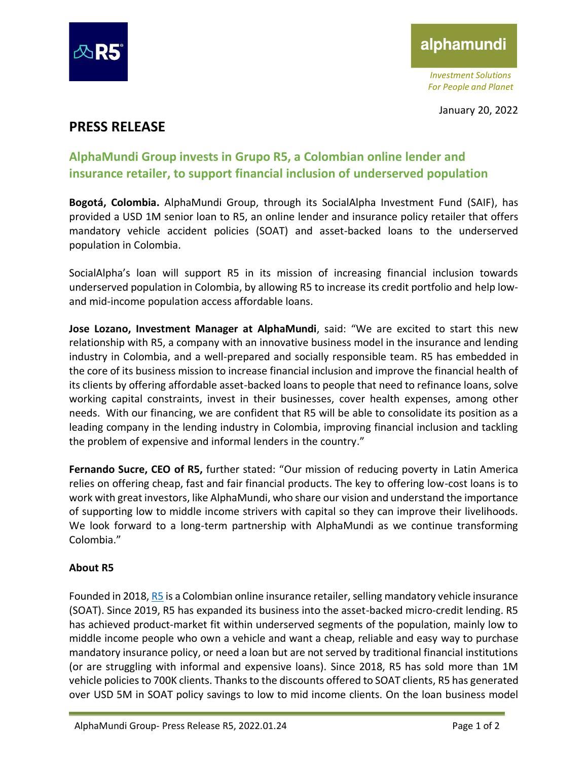

# alphamundi

*Investment Solutions For People and Planet*

## **PRESS RELEASE**

## **AlphaMundi Group invests in Grupo R5, a Colombian online lender and insurance retailer, to support financial inclusion of underserved population**

**Bogotá, Colombia.** AlphaMundi Group, through its SocialAlpha Investment Fund (SAIF), has provided a USD 1M senior loan to R5, an online lender and insurance policy retailer that offers mandatory vehicle accident policies (SOAT) and asset-backed loans to the underserved population in Colombia.

SocialAlpha's loan will support R5 in its mission of increasing financial inclusion towards underserved population in Colombia, by allowing R5 to increase its credit portfolio and help lowand mid-income population access affordable loans.

**Jose Lozano, Investment Manager at AlphaMundi**, said: "We are excited to start this new relationship with R5, a company with an innovative business model in the insurance and lending industry in Colombia, and a well-prepared and socially responsible team. R5 has embedded in the core of its business mission to increase financial inclusion and improve the financial health of its clients by offering affordable asset-backed loans to people that need to refinance loans, solve working capital constraints, invest in their businesses, cover health expenses, among other needs. With our financing, we are confident that R5 will be able to consolidate its position as a leading company in the lending industry in Colombia, improving financial inclusion and tackling the problem of expensive and informal lenders in the country."

**Fernando Sucre, CEO of R5,** further stated: "Our mission of reducing poverty in Latin America relies on offering cheap, fast and fair financial products. The key to offering low-cost loans is to work with great investors, like AlphaMundi, who share our vision and understand the importance of supporting low to middle income strivers with capital so they can improve their livelihoods. We look forward to a long-term partnership with AlphaMundi as we continue transforming Colombia."

#### **About R5**

Founded in 2018, [R5](https://www.grupor5.com/) is a Colombian online insurance retailer, selling mandatory vehicle insurance (SOAT). Since 2019, R5 has expanded its business into the asset-backed micro-credit lending. R5 has achieved product-market fit within underserved segments of the population, mainly low to middle income people who own a vehicle and want a cheap, reliable and easy way to purchase mandatory insurance policy, or need a loan but are not served by traditional financial institutions (or are struggling with informal and expensive loans). Since 2018, R5 has sold more than 1M vehicle policies to 700K clients. Thanks to the discounts offered to SOAT clients, R5 has generated over USD 5M in SOAT policy savings to low to mid income clients. On the loan business model